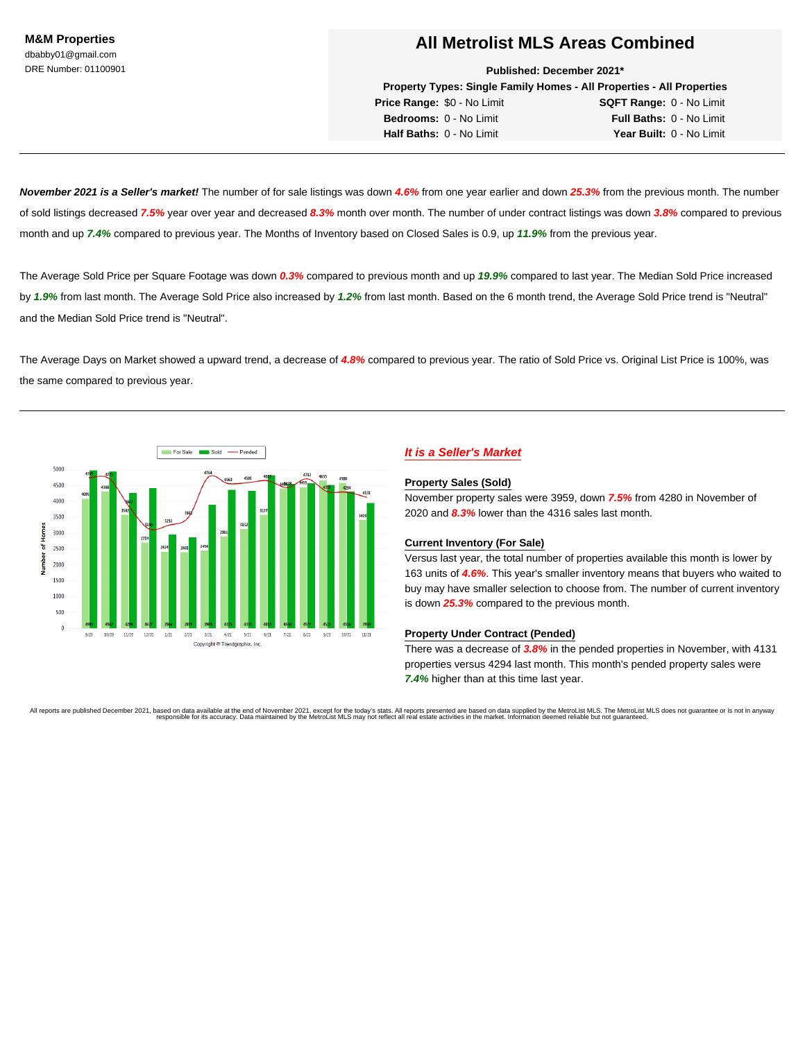**Published: December 2021\***

**Property Types: Single Family Homes - All Properties - All Properties**

**Price Range:** \$0 - No Limit **SQFT Range:** 0 - No Limit **Bedrooms:** 0 - No Limit **Full Baths:** 0 - No Limit **Half Baths:** 0 - No Limit **Year Built:** 0 - No Limit

**November 2021 is a Seller's market!** The number of for sale listings was down **4.6%** from one year earlier and down **25.3%** from the previous month. The number of sold listings decreased **7.5%** year over year and decreased **8.3%** month over month. The number of under contract listings was down **3.8%** compared to previous month and up **7.4%** compared to previous year. The Months of Inventory based on Closed Sales is 0.9, up **11.9%** from the previous year.

The Average Sold Price per Square Footage was down **0.3%** compared to previous month and up **19.9%** compared to last year. The Median Sold Price increased by **1.9%** from last month. The Average Sold Price also increased by **1.2%** from last month. Based on the 6 month trend, the Average Sold Price trend is "Neutral" and the Median Sold Price trend is "Neutral".

The Average Days on Market showed a upward trend, a decrease of **4.8%** compared to previous year. The ratio of Sold Price vs. Original List Price is 100%, was the same compared to previous year.



## **It is a Seller's Market**

## **Property Sales (Sold)**

November property sales were 3959, down **7.5%** from 4280 in November of 2020 and **8.3%** lower than the 4316 sales last month.

#### **Current Inventory (For Sale)**

Versus last year, the total number of properties available this month is lower by 163 units of **4.6%**. This year's smaller inventory means that buyers who waited to buy may have smaller selection to choose from. The number of current inventory is down **25.3%** compared to the previous month.

#### **Property Under Contract (Pended)**

There was a decrease of **3.8%** in the pended properties in November, with 4131 properties versus 4294 last month. This month's pended property sales were **7.4%** higher than at this time last year.

All reports are published December 2021, based on data available at the end of November 2021 bases for the today's stas. All reports for essual and a super on the Metroliat MLS most pain any servent of the MetroList MLS ma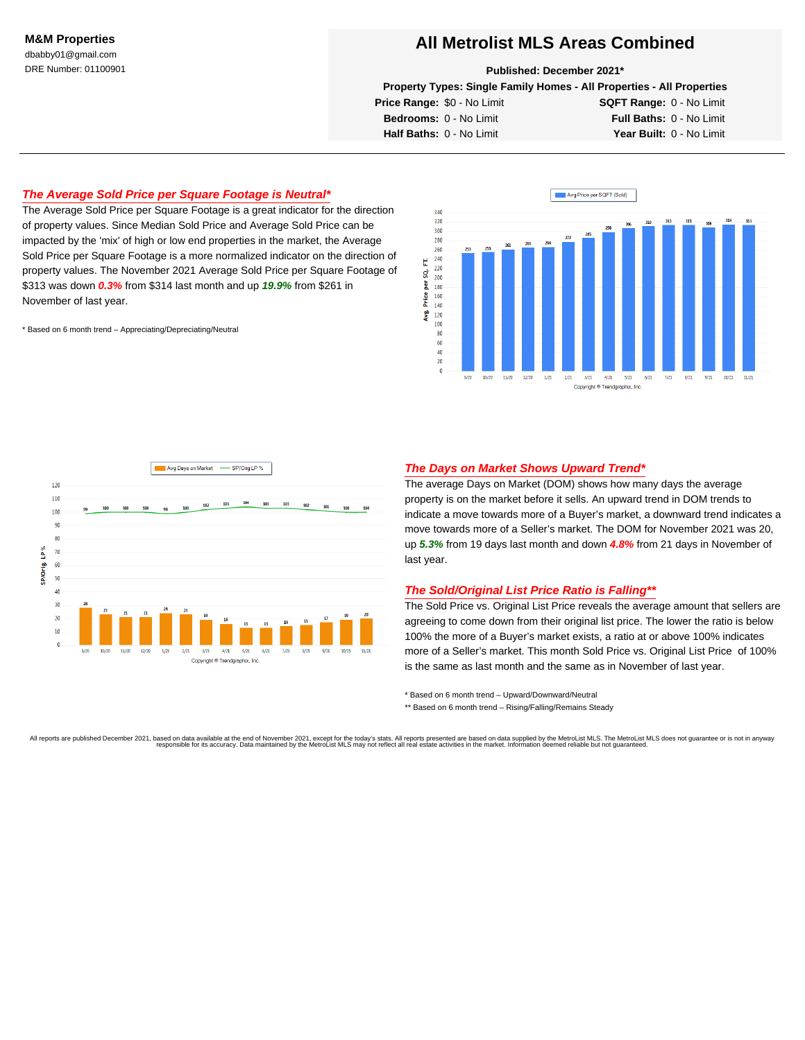#### **Published: December 2021\***

**Property Types: Single Family Homes - All Properties - All Properties**

**Price Range:** \$0 - No Limit **SQFT Range:** 0 - No Limit **Bedrooms:** 0 - No Limit **Full Baths:** 0 - No Limit **Half Baths:** 0 - No Limit **Year Built:** 0 - No Limit

## **The Average Sold Price per Square Footage is Neutral\***

The Average Sold Price per Square Footage is a great indicator for the direction of property values. Since Median Sold Price and Average Sold Price can be impacted by the 'mix' of high or low end properties in the market, the Average Sold Price per Square Footage is a more normalized indicator on the direction of property values. The November 2021 Average Sold Price per Square Footage of \$313 was down **0.3%** from \$314 last month and up **19.9%** from \$261 in November of last year.

\* Based on 6 month trend – Appreciating/Depreciating/Neutral





## **The Days on Market Shows Upward Trend\***

The average Days on Market (DOM) shows how many days the average property is on the market before it sells. An upward trend in DOM trends to indicate a move towards more of a Buyer's market, a downward trend indicates a move towards more of a Seller's market. The DOM for November 2021 was 20, up **5.3%** from 19 days last month and down **4.8%** from 21 days in November of last year.

## **The Sold/Original List Price Ratio is Falling\*\***

The Sold Price vs. Original List Price reveals the average amount that sellers are agreeing to come down from their original list price. The lower the ratio is below 100% the more of a Buyer's market exists, a ratio at or above 100% indicates more of a Seller's market. This month Sold Price vs. Original List Price of 100% is the same as last month and the same as in November of last year.

\* Based on 6 month trend – Upward/Downward/Neutral

\*\* Based on 6 month trend - Rising/Falling/Remains Steady

All reports are published December 2021, based on data available at the end of November 2021 bases for the today's stas. All reports for essual and a super on the Metroliat MLS most pain any servent of the MetroList MLS ma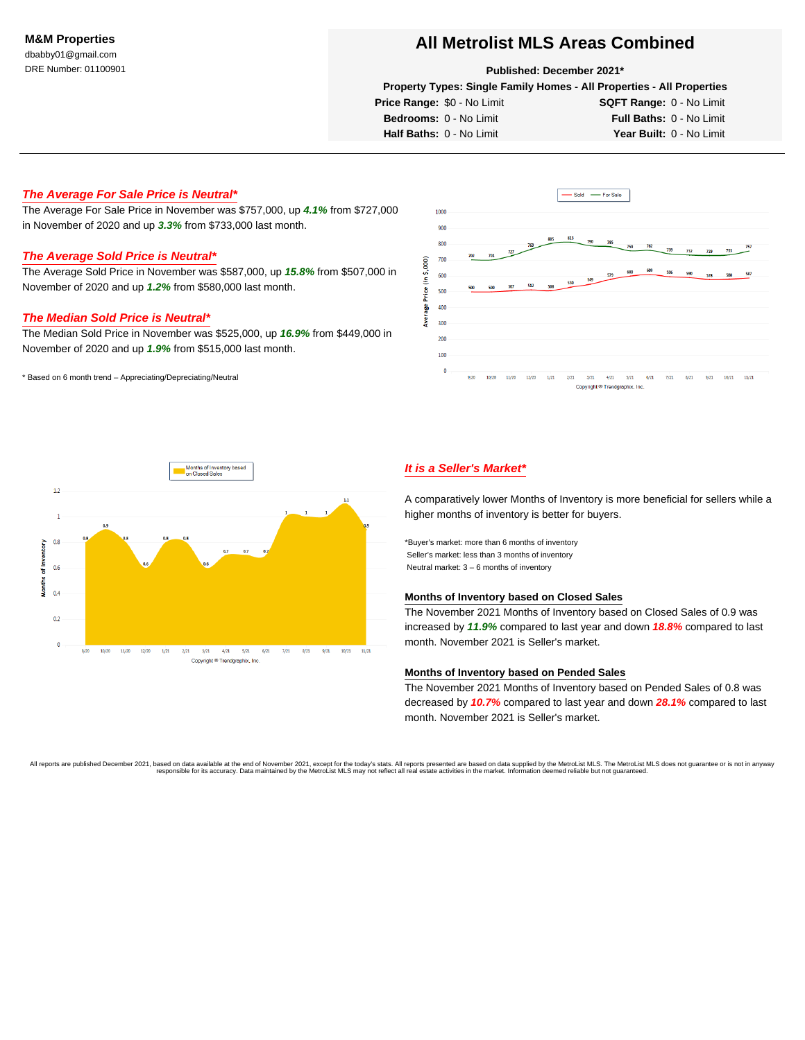#### **Published: December 2021\***

**Property Types: Single Family Homes - All Properties - All Properties**

**Price Range:** \$0 - No Limit **SQFT Range:** 0 - No Limit **Bedrooms:** 0 - No Limit **Full Baths:** 0 - No Limit **Half Baths:** 0 - No Limit **Year Built:** 0 - No Limit

**The Average For Sale Price is Neutral\***

The Average For Sale Price in November was \$757,000, up **4.1%** from \$727,000 in November of 2020 and up **3.3%** from \$733,000 last month.

#### **The Average Sold Price is Neutral\***

The Average Sold Price in November was \$587,000, up **15.8%** from \$507,000 in November of 2020 and up **1.2%** from \$580,000 last month.

## **The Median Sold Price is Neutral\***

The Median Sold Price in November was \$525,000, up **16.9%** from \$449,000 in November of 2020 and up **1.9%** from \$515,000 last month.

\* Based on 6 month trend – Appreciating/Depreciating/Neutral





## **It is a Seller's Market\***

A comparatively lower Months of Inventory is more beneficial for sellers while a higher months of inventory is better for buyers.

\*Buyer's market: more than 6 months of inventory Seller's market: less than 3 months of inventory Neutral market: 3 – 6 months of inventory

#### **Months of Inventory based on Closed Sales**

The November 2021 Months of Inventory based on Closed Sales of 0.9 was increased by **11.9%** compared to last year and down **18.8%** compared to last month. November 2021 is Seller's market.

## **Months of Inventory based on Pended Sales**

The November 2021 Months of Inventory based on Pended Sales of 0.8 was decreased by **10.7%** compared to last year and down **28.1%** compared to last month. November 2021 is Seller's market.

All reports are published December 2021, based on data available at the end of November 2021, bacept for the today's stars. All reports in especies to a based on the Metrolist MLS may set all real estate activities in the